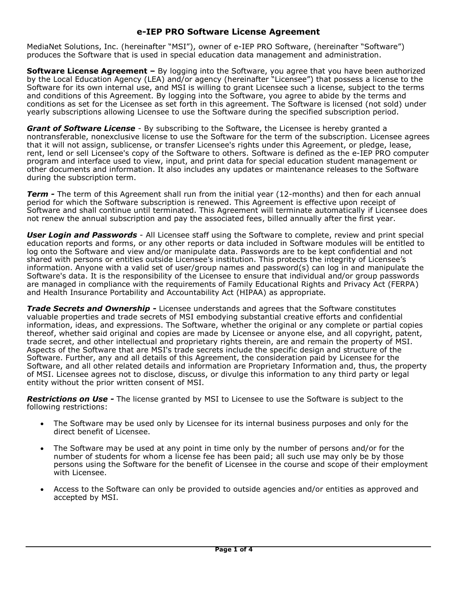## **e-IEP PRO Software License Agreement**

MediaNet Solutions, Inc. (hereinafter "MSI"), owner of e-IEP PRO Software, (hereinafter "Software") produces the Software that is used in special education data management and administration.

**Software License Agreement –** By logging into the Software, you agree that you have been authorized by the Local Education Agency (LEA) and/or agency (hereinafter "Licensee") that possess a license to the Software for its own internal use, and MSI is willing to grant Licensee such a license, subject to the terms and conditions of this Agreement. By logging into the Software, you agree to abide by the terms and conditions as set for the Licensee as set forth in this agreement. The Software is licensed (not sold) under yearly subscriptions allowing Licensee to use the Software during the specified subscription period.

*Grant of Software License* - By subscribing to the Software, the Licensee is hereby granted a nontransferable, nonexclusive license to use the Software for the term of the subscription. Licensee agrees that it will not assign, sublicense, or transfer Licensee's rights under this Agreement, or pledge, lease, rent, lend or sell Licensee's copy of the Software to others. Software is defined as the e-IEP PRO computer program and interface used to view, input, and print data for special education student management or other documents and information. It also includes any updates or maintenance releases to the Software during the subscription term.

**Term -** The term of this Agreement shall run from the initial year (12-months) and then for each annual period for which the Software subscription is renewed. This Agreement is effective upon receipt of Software and shall continue until terminated. This Agreement will terminate automatically if Licensee does not renew the annual subscription and pay the associated fees, billed annually after the first year.

*User Login and Passwords* - All Licensee staff using the Software to complete, review and print special education reports and forms, or any other reports or data included in Software modules will be entitled to log onto the Software and view and/or manipulate data. Passwords are to be kept confidential and not shared with persons or entities outside Licensee's institution. This protects the integrity of Licensee's information. Anyone with a valid set of user/group names and password(s) can log in and manipulate the Software's data. It is the responsibility of the Licensee to ensure that individual and/or group passwords are managed in compliance with the requirements of Family Educational Rights and Privacy Act (FERPA) and Health Insurance Portability and Accountability Act (HIPAA) as appropriate.

*Trade Secrets and Ownership -* Licensee understands and agrees that the Software constitutes valuable properties and trade secrets of MSI embodying substantial creative efforts and confidential information, ideas, and expressions. The Software, whether the original or any complete or partial copies thereof, whether said original and copies are made by Licensee or anyone else, and all copyright, patent, trade secret, and other intellectual and proprietary rights therein, are and remain the property of MSI. Aspects of the Software that are MSI's trade secrets include the specific design and structure of the Software. Further, any and all details of this Agreement, the consideration paid by Licensee for the Software, and all other related details and information are Proprietary Information and, thus, the property of MSI. Licensee agrees not to disclose, discuss, or divulge this information to any third party or legal entity without the prior written consent of MSI.

*Restrictions on Use -* The license granted by MSI to Licensee to use the Software is subject to the following restrictions:

- The Software may be used only by Licensee for its internal business purposes and only for the direct benefit of Licensee.
- The Software may be used at any point in time only by the number of persons and/or for the number of students for whom a license fee has been paid; all such use may only be by those persons using the Software for the benefit of Licensee in the course and scope of their employment with Licensee.
- Access to the Software can only be provided to outside agencies and/or entities as approved and accepted by MSI.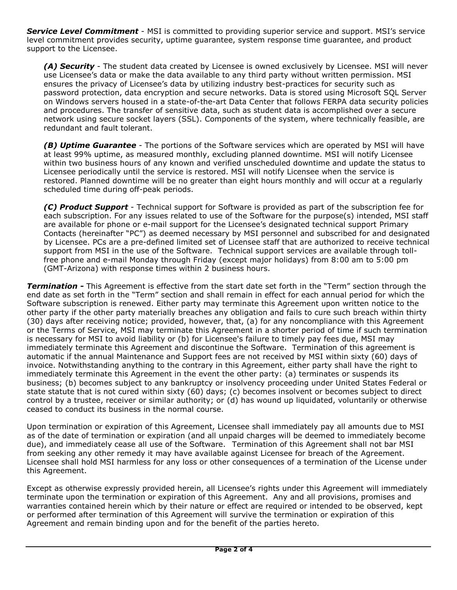*Service Level Commitment* - MSI is committed to providing superior service and support. MSI's service level commitment provides security, uptime guarantee, system response time guarantee, and product support to the Licensee.

*(A) Security* - The student data created by Licensee is owned exclusively by Licensee. MSI will never use Licensee's data or make the data available to any third party without written permission. MSI ensures the privacy of Licensee's data by utilizing industry best-practices for security such as password protection, data encryption and secure networks. Data is stored using Microsoft SQL Server on Windows servers housed in a state-of-the-art Data Center that follows FERPA data security policies and procedures. The transfer of sensitive data, such as student data is accomplished over a secure network using secure socket layers (SSL). Components of the system, where technically feasible, are redundant and fault tolerant.

*(B) Uptime Guarantee* - The portions of the Software services which are operated by MSI will have at least 99% uptime, as measured monthly, excluding planned downtime. MSI will notify Licensee within two business hours of any known and verified unscheduled downtime and update the status to Licensee periodically until the service is restored. MSI will notify Licensee when the service is restored. Planned downtime will be no greater than eight hours monthly and will occur at a regularly scheduled time during off-peak periods.

*(C) Product Support* - Technical support for Software is provided as part of the subscription fee for each subscription. For any issues related to use of the Software for the purpose(s) intended, MSI staff are available for phone or e-mail support for the Licensee's designated technical support Primary Contacts (hereinafter "PC") as deemed necessary by MSI personnel and subscribed for and designated by Licensee. PCs are a pre-defined limited set of Licensee staff that are authorized to receive technical support from MSI in the use of the Software. Technical support services are available through tollfree phone and e-mail Monday through Friday (except major holidays) from 8:00 am to 5:00 pm (GMT-Arizona) with response times within 2 business hours.

*Termination -* This Agreement is effective from the start date set forth in the "Term" section through the end date as set forth in the "Term" section and shall remain in effect for each annual period for which the Software subscription is renewed. Either party may terminate this Agreement upon written notice to the other party if the other party materially breaches any obligation and fails to cure such breach within thirty (30) days after receiving notice; provided, however, that, (a) for any noncompliance with this Agreement or the Terms of Service, MSI may terminate this Agreement in a shorter period of time if such termination is necessary for MSI to avoid liability or (b) for Licensee's failure to timely pay fees due, MSI may immediately terminate this Agreement and discontinue the Software. Termination of this agreement is automatic if the annual Maintenance and Support fees are not received by MSI within sixty (60) days of invoice. Notwithstanding anything to the contrary in this Agreement, either party shall have the right to immediately terminate this Agreement in the event the other party: (a) terminates or suspends its business; (b) becomes subject to any bankruptcy or insolvency proceeding under United States Federal or state statute that is not cured within sixty (60) days; (c) becomes insolvent or becomes subject to direct control by a trustee, receiver or similar authority; or (d) has wound up liquidated, voluntarily or otherwise ceased to conduct its business in the normal course.

Upon termination or expiration of this Agreement, Licensee shall immediately pay all amounts due to MSI as of the date of termination or expiration (and all unpaid charges will be deemed to immediately become due), and immediately cease all use of the Software. Termination of this Agreement shall not bar MSI from seeking any other remedy it may have available against Licensee for breach of the Agreement. Licensee shall hold MSI harmless for any loss or other consequences of a termination of the License under this Agreement.

Except as otherwise expressly provided herein, all Licensee's rights under this Agreement will immediately terminate upon the termination or expiration of this Agreement. Any and all provisions, promises and warranties contained herein which by their nature or effect are required or intended to be observed, kept or performed after termination of this Agreement will survive the termination or expiration of this Agreement and remain binding upon and for the benefit of the parties hereto.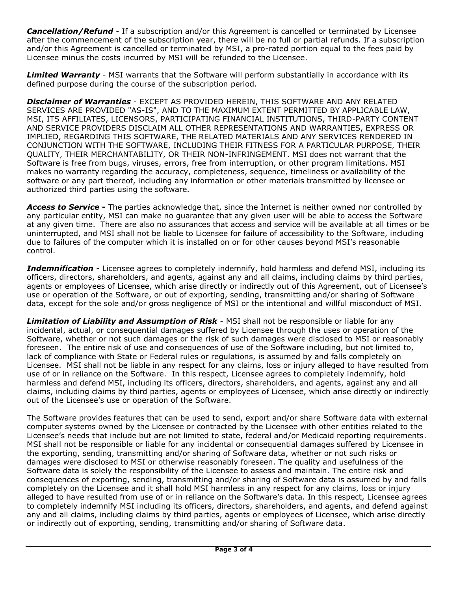*Cancellation/Refund* - If a subscription and/or this Agreement is cancelled or terminated by Licensee after the commencement of the subscription year, there will be no full or partial refunds. If a subscription and/or this Agreement is cancelled or terminated by MSI, a pro-rated portion equal to the fees paid by Licensee minus the costs incurred by MSI will be refunded to the Licensee.

*Limited Warranty* - MSI warrants that the Software will perform substantially in accordance with its defined purpose during the course of the subscription period.

*Disclaimer of Warranties* - EXCEPT AS PROVIDED HEREIN, THIS SOFTWARE AND ANY RELATED SERVICES ARE PROVIDED "AS-IS", AND TO THE MAXIMUM EXTENT PERMITTED BY APPLICABLE LAW, MSI, ITS AFFILIATES, LICENSORS, PARTICIPATING FINANCIAL INSTITUTIONS, THIRD-PARTY CONTENT AND SERVICE PROVIDERS DISCLAIM ALL OTHER REPRESENTATIONS AND WARRANTIES, EXPRESS OR IMPLIED, REGARDING THIS SOFTWARE, THE RELATED MATERIALS AND ANY SERVICES RENDERED IN CONJUNCTION WITH THE SOFTWARE, INCLUDING THEIR FITNESS FOR A PARTICULAR PURPOSE, THEIR QUALITY, THEIR MERCHANTABILITY, OR THEIR NON-INFRINGEMENT. MSI does not warrant that the Software is free from bugs, viruses, errors, free from interruption, or other program limitations. MSI makes no warranty regarding the accuracy, completeness, sequence, timeliness or availability of the software or any part thereof, including any information or other materials transmitted by licensee or authorized third parties using the software.

*Access to Service* **-** The parties acknowledge that, since the Internet is neither owned nor controlled by any particular entity, MSI can make no guarantee that any given user will be able to access the Software at any given time. There are also no assurances that access and service will be available at all times or be uninterrupted, and MSI shall not be liable to Licensee for failure of accessibility to the Software, including due to failures of the computer which it is installed on or for other causes beyond MSI's reasonable control.

*Indemnification* - Licensee agrees to completely indemnify, hold harmless and defend MSI, including its officers, directors, shareholders, and agents, against any and all claims, including claims by third parties, agents or employees of Licensee, which arise directly or indirectly out of this Agreement, out of Licensee's use or operation of the Software, or out of exporting, sending, transmitting and/or sharing of Software data, except for the sole and/or gross negligence of MSI or the intentional and willful misconduct of MSI.

*Limitation of Liability and Assumption of Risk* - MSI shall not be responsible or liable for any incidental, actual, or consequential damages suffered by Licensee through the uses or operation of the Software, whether or not such damages or the risk of such damages were disclosed to MSI or reasonably foreseen. The entire risk of use and consequences of use of the Software including, but not limited to, lack of compliance with State or Federal rules or regulations, is assumed by and falls completely on Licensee. MSI shall not be liable in any respect for any claims, loss or injury alleged to have resulted from use of or in reliance on the Software. In this respect, Licensee agrees to completely indemnify, hold harmless and defend MSI, including its officers, directors, shareholders, and agents, against any and all claims, including claims by third parties, agents or employees of Licensee, which arise directly or indirectly out of the Licensee's use or operation of the Software.

The Software provides features that can be used to send, export and/or share Software data with external computer systems owned by the Licensee or contracted by the Licensee with other entities related to the Licensee's needs that include but are not limited to state, federal and/or Medicaid reporting requirements. MSI shall not be responsible or liable for any incidental or consequential damages suffered by Licensee in the exporting, sending, transmitting and/or sharing of Software data, whether or not such risks or damages were disclosed to MSI or otherwise reasonably foreseen. The quality and usefulness of the Software data is solely the responsibility of the Licensee to assess and maintain. The entire risk and consequences of exporting, sending, transmitting and/or sharing of Software data is assumed by and falls completely on the Licensee and it shall hold MSI harmless in any respect for any claims, loss or injury alleged to have resulted from use of or in reliance on the Software's data. In this respect, Licensee agrees to completely indemnify MSI including its officers, directors, shareholders, and agents, and defend against any and all claims, including claims by third parties, agents or employees of Licensee, which arise directly or indirectly out of exporting, sending, transmitting and/or sharing of Software data.